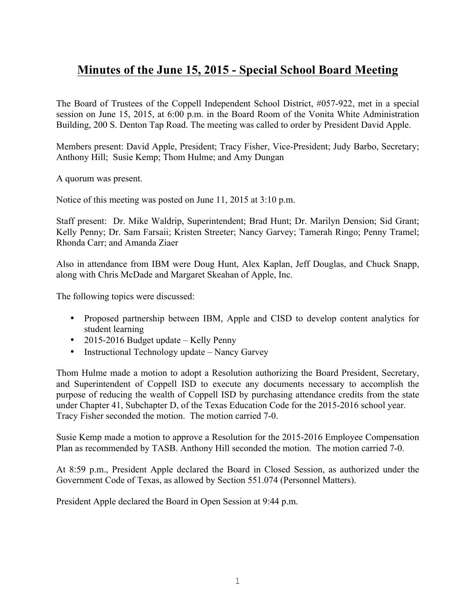## **Minutes of the June 15, 2015 - Special School Board Meeting**

The Board of Trustees of the Coppell Independent School District, #057-922, met in a special session on June 15, 2015, at 6:00 p.m. in the Board Room of the Vonita White Administration Building, 200 S. Denton Tap Road. The meeting was called to order by President David Apple.

Members present: David Apple, President; Tracy Fisher, Vice-President; Judy Barbo, Secretary; Anthony Hill; Susie Kemp; Thom Hulme; and Amy Dungan

A quorum was present.

Notice of this meeting was posted on June 11, 2015 at 3:10 p.m.

Staff present: Dr. Mike Waldrip, Superintendent; Brad Hunt; Dr. Marilyn Dension; Sid Grant; Kelly Penny; Dr. Sam Farsaii; Kristen Streeter; Nancy Garvey; Tamerah Ringo; Penny Tramel; Rhonda Carr; and Amanda Ziaer

Also in attendance from IBM were Doug Hunt, Alex Kaplan, Jeff Douglas, and Chuck Snapp, along with Chris McDade and Margaret Skeahan of Apple, Inc.

The following topics were discussed:

- Proposed partnership between IBM, Apple and CISD to develop content analytics for student learning
- 2015-2016 Budget update Kelly Penny
- Instructional Technology update Nancy Garvey

Thom Hulme made a motion to adopt a Resolution authorizing the Board President, Secretary, and Superintendent of Coppell ISD to execute any documents necessary to accomplish the purpose of reducing the wealth of Coppell ISD by purchasing attendance credits from the state under Chapter 41, Subchapter D, of the Texas Education Code for the 2015-2016 school year. Tracy Fisher seconded the motion. The motion carried 7-0.

Susie Kemp made a motion to approve a Resolution for the 2015-2016 Employee Compensation Plan as recommended by TASB. Anthony Hill seconded the motion. The motion carried 7-0.

At 8:59 p.m., President Apple declared the Board in Closed Session, as authorized under the Government Code of Texas, as allowed by Section 551.074 (Personnel Matters).

President Apple declared the Board in Open Session at 9:44 p.m.